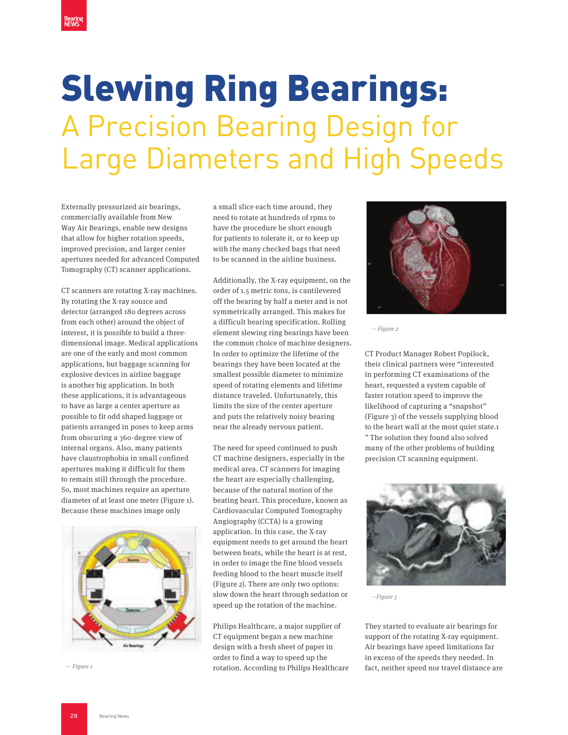## A Precision Bearing Design for Large Diameters and High Speeds

Externally pressurized air bearings, commercially available from New Way Air Bearings, enable new designs that allow for higher rotation speeds, improved precision, and larger center apertures needed for advanced Computed Tomography (CT) scanner applications.

CT scanners are rotating X-ray machines. By rotating the X-ray source and detector (arranged 180 degrees across from each other) around the object of interest, it is possible to build a threedimensional image. Medical applications are one of the early and most common applications, but baggage scanning for explosive devices in airline baggage is another big application. In both these applications, it is advantageous to have as large a center aperture as possible to fit odd shaped luggage or patients arranged in poses to keep arms from obscuring a 360-degree view of internal organs. Also, many patients have claustrophobia in small confined apertures making it difficult for them to remain still through the procedure. So, most machines require an aperture diameter of at least one meter (Figure 1). Because these machines image only



a small slice each time around, they need to rotate at hundreds of rpms to have the procedure be short enough for patients to tolerate it, or to keep up with the many checked bags that need to be scanned in the airline business.

Additionally, the X-ray equipment, on the order of 1.5 metric tons, is cantilevered off the bearing by half a meter and is not symmetrically arranged. This makes for a difficult bearing specification. Rolling element slewing ring bearings have been the common choice of machine designers. In order to optimize the lifetime of the bearings they have been located at the smallest possible diameter to minimize speed of rotating elements and lifetime distance traveled. Unfortunately, this limits the size of the center aperture and puts the relatively noisy bearing near the already nervous patient.

The need for speed continued to push CT machine designers, especially in the medical area. CT scanners for imaging the heart are especially challenging, because of the natural motion of the beating heart. This procedure, known as Cardiovascular Computed Tomography Angiography (CCTA) is a growing application. In this case, the X-ray equipment needs to get around the heart between beats, while the heart is at rest, in order to image the fine blood vessels feeding blood to the heart muscle itself (Figure 2). There are only two options: slow down the heart through sedation or speed up the rotation of the machine.

Philips Healthcare, a major supplier of CT equipment began a new machine design with a fresh sheet of paper in order to find a way to speed up the rotation. According to Philips Healthcare  $-F\text{ figure 1}$  fact, neither speed nor travel distance are fact, neither speed nor travel distance are



— Figure 2

CT Product Manager Robert Popilock, their clinical partners were "interested in performing CT examinations of the heart, requested a system capable of faster rotation speed to improve the likelihood of capturing a "snapshot" (Figure 3) of the vessels supplying blood to the heart wall at the most quiet state.1 " The solution they found also solved many of the other problems of building precision CT scanning equipment.



—Figure 3

They started to evaluate air bearings for support of the rotating X-ray equipment. Air bearings have speed limitations far in excess of the speeds they needed. In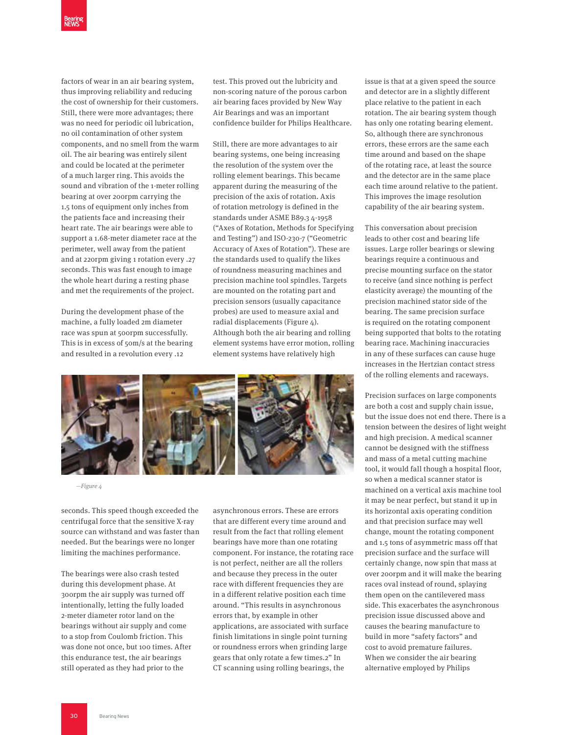factors of wear in an air bearing system, thus improving reliability and reducing the cost of ownership for their customers. Still, there were more advantages; there was no need for periodic oil lubrication, no oil contamination of other system components, and no smell from the warm oil. The air bearing was entirely silent and could be located at the perimeter of a much larger ring. This avoids the sound and vibration of the 1-meter rolling bearing at over 200rpm carrying the 1.5 tons of equipment only inches from the patients face and increasing their heart rate. The air bearings were able to support a 1.68-meter diameter race at the perimeter, well away from the patient and at 220rpm giving 1 rotation every .27 seconds. This was fast enough to image the whole heart during a resting phase and met the requirements of the project.

During the development phase of the machine, a fully loaded 2m diameter race was spun at 500rpm successfully. This is in excess of 50m/s at the bearing and resulted in a revolution every .12

test. This proved out the lubricity and non-scoring nature of the porous carbon air bearing faces provided by New Way Air Bearings and was an important confidence builder for Philips Healthcare.

Still, there are more advantages to air bearing systems, one being increasing the resolution of the system over the rolling element bearings. This became apparent during the measuring of the precision of the axis of rotation. Axis of rotation metrology is defined in the standards under ASME B89.3 4-1958 ("Axes of Rotation, Methods for Specifying and Testing") and ISO-230-7 ("Geometric Accuracy of Axes of Rotation"). These are the standards used to qualify the likes of roundness measuring machines and precision machine tool spindles. Targets are mounted on the rotating part and precision sensors (usually capacitance probes) are used to measure axial and radial displacements (Figure 4). Although both the air bearing and rolling element systems have error motion, rolling element systems have relatively high



—Figure 4

seconds. This speed though exceeded the centrifugal force that the sensitive X-ray source can withstand and was faster than needed. But the bearings were no longer limiting the machines performance.

The bearings were also crash tested during this development phase. At 300rpm the air supply was turned off intentionally, letting the fully loaded 2-meter diameter rotor land on the bearings without air supply and come to a stop from Coulomb friction. This was done not once, but 100 times. After this endurance test, the air bearings still operated as they had prior to the

asynchronous errors. These are errors that are different every time around and result from the fact that rolling element bearings have more than one rotating component. For instance, the rotating race is not perfect, neither are all the rollers and because they precess in the outer race with different frequencies they are in a different relative position each time around. "This results in asynchronous errors that, by example in other applications, are associated with surface finish limitations in single point turning or roundness errors when grinding large gears that only rotate a few times.2" In CT scanning using rolling bearings, the

issue is that at a given speed the source and detector are in a slightly different place relative to the patient in each rotation. The air bearing system though has only one rotating bearing element. So, although there are synchronous errors, these errors are the same each time around and based on the shape of the rotating race, at least the source and the detector are in the same place each time around relative to the patient. This improves the image resolution capability of the air bearing system.

This conversation about precision leads to other cost and bearing life issues. Large roller bearings or slewing bearings require a continuous and precise mounting surface on the stator to receive (and since nothing is perfect elasticity average) the mounting of the precision machined stator side of the bearing. The same precision surface is required on the rotating component being supported that bolts to the rotating bearing race. Machining inaccuracies in any of these surfaces can cause huge increases in the Hertzian contact stress of the rolling elements and raceways.

Precision surfaces on large components are both a cost and supply chain issue, but the issue does not end there. There is a tension between the desires of light weight and high precision. A medical scanner cannot be designed with the stiffness and mass of a metal cutting machine tool, it would fall though a hospital floor, so when a medical scanner stator is machined on a vertical axis machine tool it may be near perfect, but stand it up in its horizontal axis operating condition and that precision surface may well change, mount the rotating component and 1.5 tons of asymmetric mass off that precision surface and the surface will certainly change, now spin that mass at over 200rpm and it will make the bearing races oval instead of round, splaying them open on the cantilevered mass side. This exacerbates the asynchronous precision issue discussed above and causes the bearing manufacture to build in more "safety factors" and cost to avoid premature failures. When we consider the air bearing alternative employed by Philips